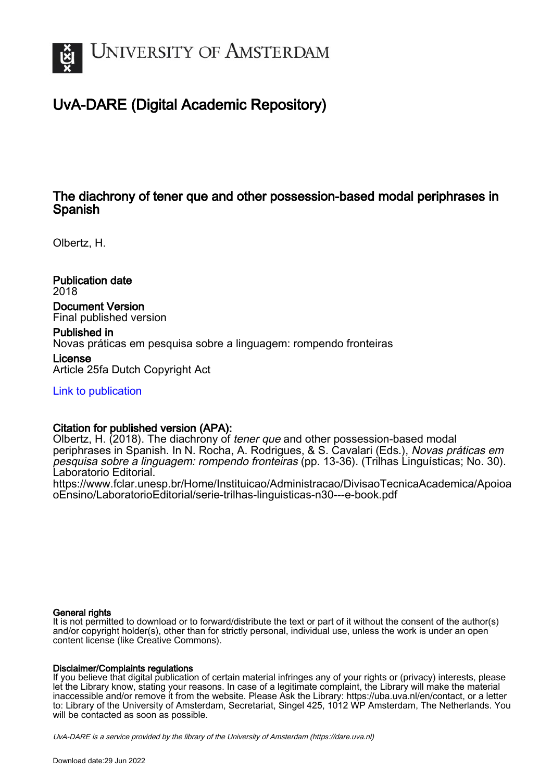

# UvA-DARE (Digital Academic Repository)

# The diachrony of tener que and other possession-based modal periphrases in Spanish

Olbertz, H.

Publication date 2018 Document Version Final published version

Published in Novas práticas em pesquisa sobre a linguagem: rompendo fronteiras License

Article 25fa Dutch Copyright Act

[Link to publication](https://dare.uva.nl/personal/pure/en/publications/the-diachrony-of-tener-queand-other-possessionbased-modal-periphrases-in-spanish(a60c8c3d-a956-47c9-9128-cfb74b2e4cf4).html)

## Citation for published version (APA):

Olbertz, H. (2018). The diachrony of tener que and other possession-based modal periphrases in Spanish. In N. Rocha, A. Rodrigues, & S. Cavalari (Eds.), Novas práticas em pesquisa sobre a linguagem: rompendo fronteiras (pp. 13-36). (Trilhas Linguísticas; No. 30). Laboratorio Editorial.

[https://www.fclar.unesp.br/Home/Instituicao/Administracao/DivisaoTecnicaAcademica/Apoioa](https://www.fclar.unesp.br/Home/Instituicao/Administracao/DivisaoTecnicaAcademica/ApoioaoEnsino/LaboratorioEditorial/serie-trilhas-linguisticas-n30---e-book.pdf) [oEnsino/LaboratorioEditorial/serie-trilhas-linguisticas-n30---e-book.pdf](https://www.fclar.unesp.br/Home/Instituicao/Administracao/DivisaoTecnicaAcademica/ApoioaoEnsino/LaboratorioEditorial/serie-trilhas-linguisticas-n30---e-book.pdf)

## General rights

It is not permitted to download or to forward/distribute the text or part of it without the consent of the author(s) and/or copyright holder(s), other than for strictly personal, individual use, unless the work is under an open content license (like Creative Commons).

## Disclaimer/Complaints regulations

If you believe that digital publication of certain material infringes any of your rights or (privacy) interests, please let the Library know, stating your reasons. In case of a legitimate complaint, the Library will make the material inaccessible and/or remove it from the website. Please Ask the Library: https://uba.uva.nl/en/contact, or a letter to: Library of the University of Amsterdam, Secretariat, Singel 425, 1012 WP Amsterdam, The Netherlands. You will be contacted as soon as possible.

UvA-DARE is a service provided by the library of the University of Amsterdam (http*s*://dare.uva.nl)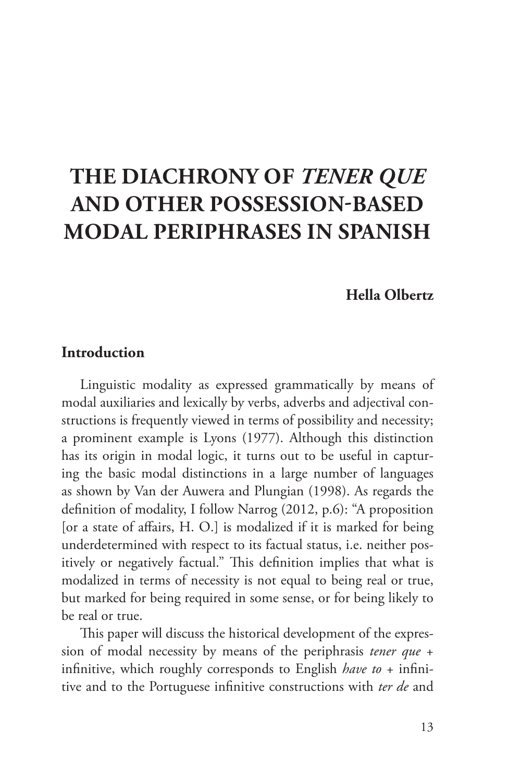# **THE DIACHRONY OF** *TENER QUE*  **AND OTHER POSSESSION-BASED MODAL PERIPHRASES IN SPANISH**

### **Hella Olbertz**

## **Introduction**

Linguistic modality as expressed grammatically by means of modal auxiliaries and lexically by verbs, adverbs and adjectival constructions is frequently viewed in terms of possibility and necessity; a prominent example is Lyons (1977). Although this distinction has its origin in modal logic, it turns out to be useful in capturing the basic modal distinctions in a large number of languages as shown by Van der Auwera and Plungian (1998). As regards the definition of modality, I follow Narrog (2012, p.6): "A proposition [or a state of affairs, H. O.] is modalized if it is marked for being underdetermined with respect to its factual status, i.e. neither positively or negatively factual." This definition implies that what is modalized in terms of necessity is not equal to being real or true, but marked for being required in some sense, or for being likely to be real or true.

This paper will discuss the historical development of the expression of modal necessity by means of the periphrasis *tener que* + infinitive, which roughly corresponds to English *have to* + infinitive and to the Portuguese infinitive constructions with *ter de* and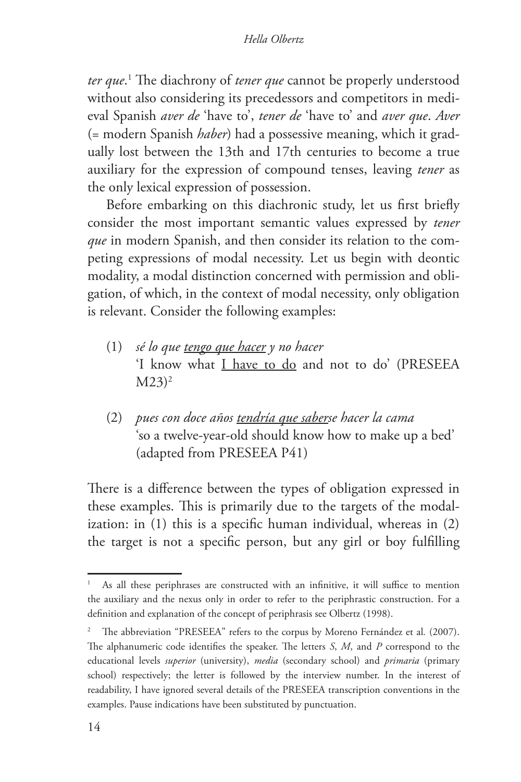*ter que*. 1 The diachrony of *tener que* cannot be properly understood without also considering its precedessors and competitors in medieval Spanish *aver de* 'have to', *tener de* 'have to' and *aver que*. *Aver*  (= modern Spanish *haber*) had a possessive meaning, which it gradually lost between the 13th and 17th centuries to become a true auxiliary for the expression of compound tenses, leaving *tener* as the only lexical expression of possession.

Before embarking on this diachronic study, let us first briefly consider the most important semantic values expressed by *tener que* in modern Spanish, and then consider its relation to the competing expressions of modal necessity. Let us begin with deontic modality, a modal distinction concerned with permission and obligation, of which, in the context of modal necessity, only obligation is relevant. Consider the following examples:

- (1) *sé lo que tengo que hacer y no hacer* 'I know what I have to do and not to do' (PRESEEA  $M23$ <sup>2</sup>
- (2) *pues con doce años tendría que saberse hacer la cama* 'so a twelve-year-old should know how to make up a bed' (adapted from PRESEEA P41)

There is a difference between the types of obligation expressed in these examples. This is primarily due to the targets of the modalization: in (1) this is a specific human individual, whereas in (2) the target is not a specific person, but any girl or boy fulfilling

As all these periphrases are constructed with an infinitive, it will suffice to mention the auxiliary and the nexus only in order to refer to the periphrastic construction. For a definition and explanation of the concept of periphrasis see Olbertz (1998).

<sup>2</sup> The abbreviation "PRESEEA" refers to the corpus by Moreno Fernández et al*.* (2007). The alphanumeric code identifies the speaker. The letters *S*, *M*, and *P* correspond to the educational levels *superior* (university), *media* (secondary school) and *primaria* (primary school) respectively; the letter is followed by the interview number. In the interest of readability, I have ignored several details of the PRESEEA transcription conventions in the examples. Pause indications have been substituted by punctuation.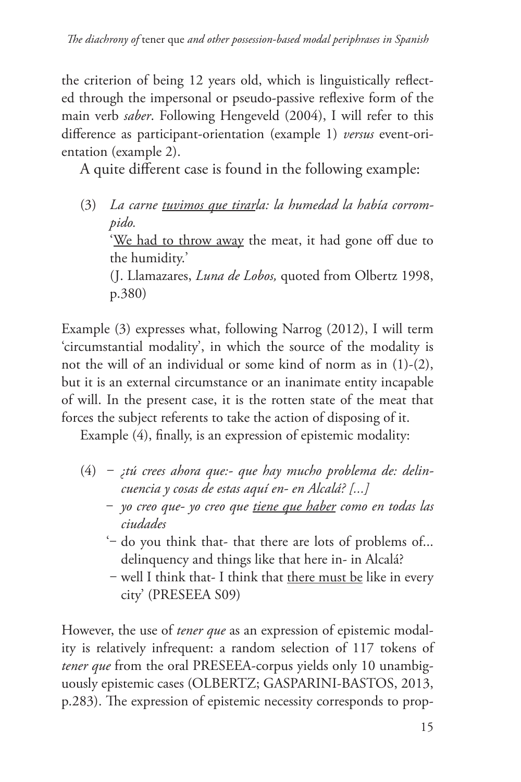the criterion of being 12 years old, which is linguistically reflected through the impersonal or pseudo-passive reflexive form of the main verb *saber*. Following Hengeveld (2004), I will refer to this difference as participant-orientation (example 1) *versus* event-orientation (example 2).

A quite different case is found in the following example:

(3) *La carne tuvimos que tirarla: la humedad la había corrompido.* 'We had to throw away the meat, it had gone off due to the humidity.' (J. Llamazares, *Luna de Lobos,* quoted from Olbertz 1998, p.380)

Example (3) expresses what, following Narrog (2012), I will term 'circumstantial modality', in which the source of the modality is not the will of an individual or some kind of norm as in (1)-(2), but it is an external circumstance or an inanimate entity incapable of will. In the present case, it is the rotten state of the meat that forces the subject referents to take the action of disposing of it.

Example (4), finally, is an expression of epistemic modality:

- (4) *‒ ¿tú crees ahora que:- que hay mucho problema de: delincuencia y cosas de estas aquí en- en Alcalá? [...]*
	- ‒ *yo creo que- yo creo que tiene que haber como en todas las ciudades*
	- '‒ do you think that- that there are lots of problems of... delinquency and things like that here in- in Alcalá?
	- ‒ well I think that- I think that there must be like in every city' (PRESEEA S09)

However, the use of *tener que* as an expression of epistemic modality is relatively infrequent: a random selection of 117 tokens of *tener que* from the oral PRESEEA-corpus yields only 10 unambiguously epistemic cases (OLBERTZ; GASPARINI-BASTOS, 2013, p.283). The expression of epistemic necessity corresponds to prop-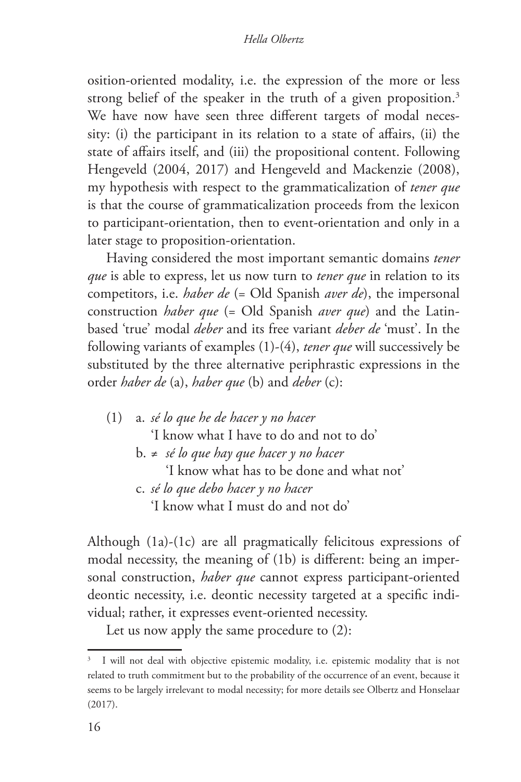#### *Hella Olbertz*

osition-oriented modality, i.e. the expression of the more or less strong belief of the speaker in the truth of a given proposition.<sup>3</sup> We have now have seen three different targets of modal necessity: (i) the participant in its relation to a state of affairs, (ii) the state of affairs itself, and (iii) the propositional content. Following Hengeveld (2004, 2017) and Hengeveld and Mackenzie (2008), my hypothesis with respect to the grammaticalization of *tener que* is that the course of grammaticalization proceeds from the lexicon to participant-orientation, then to event-orientation and only in a later stage to proposition-orientation.

Having considered the most important semantic domains *tener que* is able to express, let us now turn to *tener que* in relation to its competitors, i.e. *haber de* (= Old Spanish *aver de*), the impersonal construction *haber que* (= Old Spanish *aver que*) and the Latinbased 'true' modal *deber* and its free variant *deber de* 'must'. In the following variants of examples (1)-(4), *tener que* will successively be substituted by the three alternative periphrastic expressions in the order *haber de* (a), *haber que* (b) and *deber* (c):

(1) a. *sé lo que he de hacer y no hacer* 'I know what I have to do and not to do' b. ≠ *sé lo que hay que hacer y no hacer* 'I know what has to be done and what not' c. *sé lo que debo hacer y no hacer*

'I know what I must do and not do'

Although (1a)-(1c) are all pragmatically felicitous expressions of modal necessity, the meaning of (1b) is different: being an impersonal construction, *haber que* cannot express participant-oriented deontic necessity, i.e. deontic necessity targeted at a specific individual; rather, it expresses event-oriented necessity.

Let us now apply the same procedure to (2):

I will not deal with objective epistemic modality, i.e. epistemic modality that is not related to truth commitment but to the probability of the occurrence of an event, because it seems to be largely irrelevant to modal necessity; for more details see Olbertz and Honselaar (2017).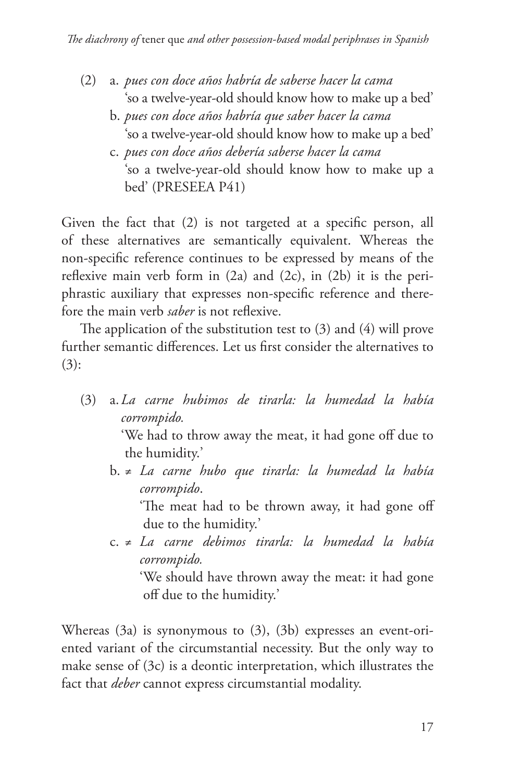- (2) a. *pues con doce años habría de saberse hacer la cama* 'so a twelve-year-old should know how to make up a bed'
	- b. *pues con doce años habría que saber hacer la cama* 'so a twelve-year-old should know how to make up a bed'
	- c. *pues con doce años debería saberse hacer la cama* 'so a twelve-year-old should know how to make up a bed' (PRESEEA P41)

Given the fact that (2) is not targeted at a specific person, all of these alternatives are semantically equivalent. Whereas the non-specific reference continues to be expressed by means of the reflexive main verb form in (2a) and (2c), in (2b) it is the periphrastic auxiliary that expresses non-specific reference and therefore the main verb *saber* is not reflexive.

The application of the substitution test to (3) and (4) will prove further semantic differences. Let us first consider the alternatives to  $(3):$ 

(3) a.*La carne hubimos de tirarla: la humedad la había corrompido.*

> 'We had to throw away the meat, it had gone off due to the humidity.'

b. ≠ *La carne hubo que tirarla: la humedad la había corrompido*.

'The meat had to be thrown away, it had gone off due to the humidity.'

c. ≠ *La carne debimos tirarla: la humedad la había corrompido.*

'We should have thrown away the meat: it had gone off due to the humidity.'

Whereas (3a) is synonymous to (3), (3b) expresses an event-oriented variant of the circumstantial necessity. But the only way to make sense of (3c) is a deontic interpretation, which illustrates the fact that *deber* cannot express circumstantial modality.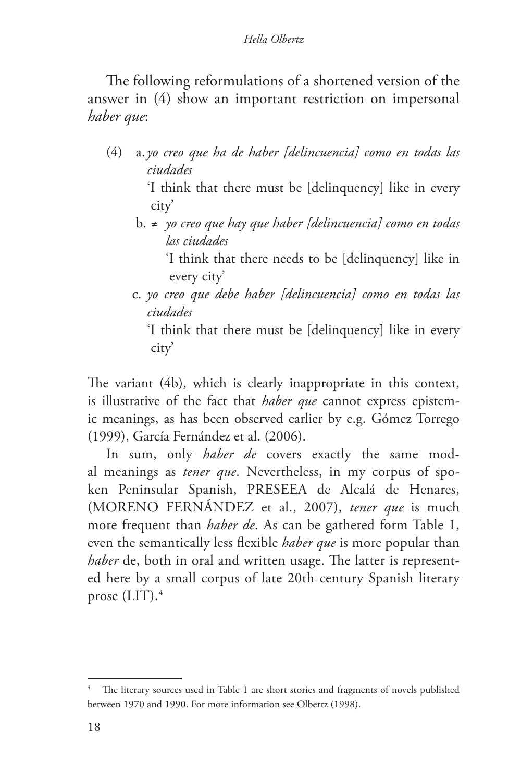The following reformulations of a shortened version of the answer in (4) show an important restriction on impersonal *haber que*:

(4) a.*yo creo que ha de haber [delincuencia] como en todas las ciudades*

> 'I think that there must be [delinquency] like in every city'

b. ≠ *yo creo que hay que haber [delincuencia] como en todas las ciudades*

'I think that there needs to be [delinquency] like in every city'

c. *yo creo que debe haber [delincuencia] como en todas las ciudades*

'I think that there must be [delinquency] like in every city'

The variant (4b), which is clearly inappropriate in this context, is illustrative of the fact that *haber que* cannot express epistemic meanings, as has been observed earlier by e.g. Gómez Torrego (1999), García Fernández et al. (2006).

In sum, only *haber de* covers exactly the same modal meanings as *tener que*. Nevertheless, in my corpus of spoken Peninsular Spanish, PRESEEA de Alcalá de Henares, (MORENO FERNÁNDEZ et al., 2007), *tener que* is much more frequent than *haber de*. As can be gathered form Table 1, even the semantically less flexible *haber que* is more popular than *haber* de, both in oral and written usage. The latter is represented here by a small corpus of late 20th century Spanish literary prose (LIT).4

The literary sources used in Table 1 are short stories and fragments of novels published between 1970 and 1990. For more information see Olbertz (1998).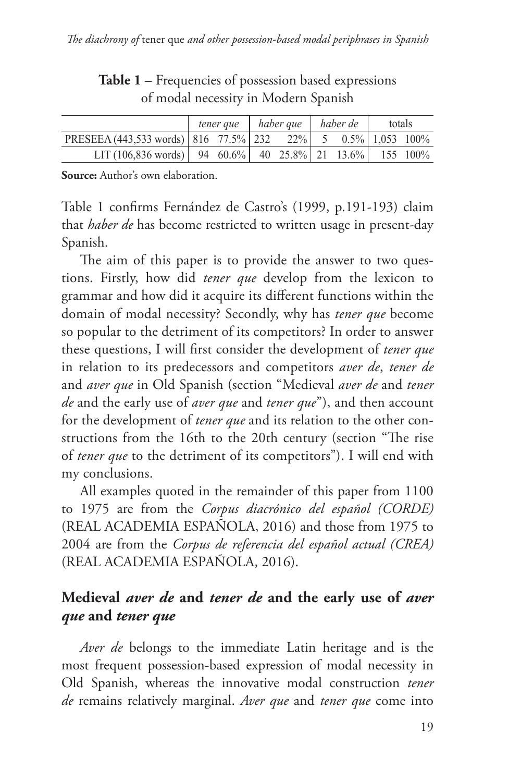|                                                                     |  |  | tener que   haber que |  | haber de |  | totals |  |
|---------------------------------------------------------------------|--|--|-----------------------|--|----------|--|--------|--|
| PRESEEA (443,533 words)   816 77.5%   232 22%   5 0.5%   1,053 100% |  |  |                       |  |          |  |        |  |
| LIT (106,836 words)   94 60.6%   40 25.8%   21 13.6%   155 100%     |  |  |                       |  |          |  |        |  |

**Table 1** – Frequencies of possession based expressions of modal necessity in Modern Spanish

**Source:** Author's own elaboration.

Table 1 confirms Fernández de Castro's (1999, p.191-193) claim that *haber de* has become restricted to written usage in present-day Spanish.

The aim of this paper is to provide the answer to two questions. Firstly, how did *tener que* develop from the lexicon to grammar and how did it acquire its different functions within the domain of modal necessity? Secondly, why has *tener que* become so popular to the detriment of its competitors? In order to answer these questions, I will first consider the development of *tener que*  in relation to its predecessors and competitors *aver de*, *tener de* and *aver que* in Old Spanish (section "Medieval *aver de* and *tener de* and the early use of *aver que* and *tener que*"), and then account for the development of *tener que* and its relation to the other constructions from the 16th to the 20th century (section "The rise of *tener que* to the detriment of its competitors"). I will end with my conclusions.

All examples quoted in the remainder of this paper from 1100 to 1975 are from the *Corpus diacrónico del español (CORDE)*  (REAL ACADEMIA ESPAÑOLA, 2016) and those from 1975 to 2004 are from the *Corpus de referencia del español actual (CREA)* (REAL ACADEMIA ESPAÑOLA, 2016).

## **Medieval** *aver de* **and** *tener de* **and the early use of** *aver que* **and** *tener que*

*Aver de* belongs to the immediate Latin heritage and is the most frequent possession-based expression of modal necessity in Old Spanish, whereas the innovative modal construction *tener de* remains relatively marginal. *Aver que* and *tener que* come into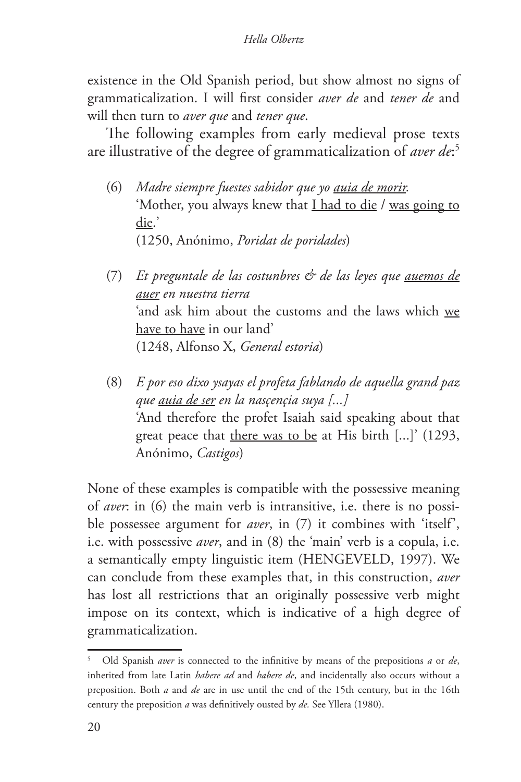existence in the Old Spanish period, but show almost no signs of grammaticalization. I will first consider *aver de* and *tener de* and will then turn to *aver que* and *tener que*.

The following examples from early medieval prose texts are illustrative of the degree of grammaticalization of *aver de*: 5

- (6) *Madre siempre fuestes sabidor que yo auia de morir.* 'Mother, you always knew that I had to die / was going to die.' (1250, Anónimo, *Poridat de poridades*)
- (7) *Et preguntale de las costunbres & de las leyes que auemos de auer en nuestra tierra* 'and ask him about the customs and the laws which we have to have in our land' (1248, Alfonso X, *General estoria*)
- (8) *E por eso dixo ysayas el profeta fablando de aquella grand paz que auia de ser en la nasçençia suya [...]* 'And therefore the profet Isaiah said speaking about that great peace that there was to be at His birth [...]' (1293, Anónimo, *Castigos*)

None of these examples is compatible with the possessive meaning of *aver*: in (6) the main verb is intransitive, i.e. there is no possible possessee argument for *aver*, in (7) it combines with 'itself', i.e. with possessive *aver*, and in (8) the 'main' verb is a copula, i.e. a semantically empty linguistic item (HENGEVELD, 1997). We can conclude from these examples that, in this construction, *aver*  has lost all restrictions that an originally possessive verb might impose on its context, which is indicative of a high degree of grammaticalization.

<sup>5</sup> Old Spanish *aver* is connected to the infinitive by means of the prepositions *a* or *de*, inherited from late Latin *habere ad* and *habere de*, and incidentally also occurs without a preposition. Both *a* and *de* are in use until the end of the 15th century, but in the 16th century the preposition *a* was definitively ousted by *de.* See Yllera (1980).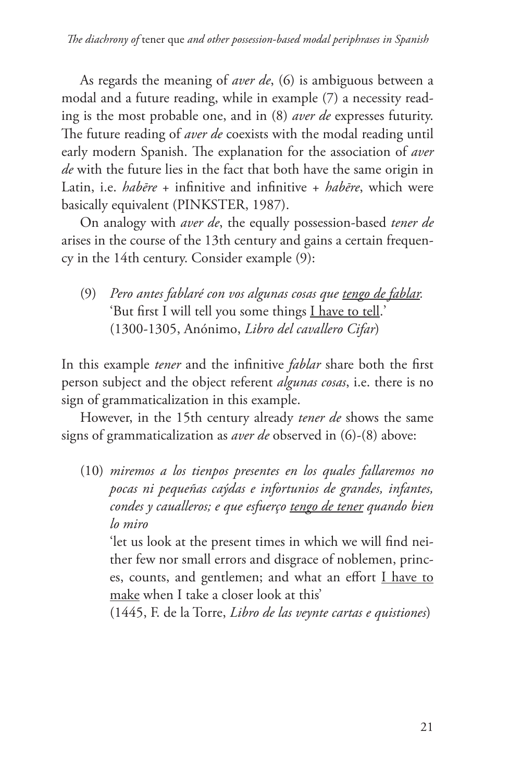As regards the meaning of *aver de*, (6) is ambiguous between a modal and a future reading, while in example (7) a necessity reading is the most probable one, and in (8) *aver de* expresses futurity. The future reading of *aver de* coexists with the modal reading until early modern Spanish. The explanation for the association of *aver de* with the future lies in the fact that both have the same origin in Latin, i.e. *habēre* + infinitive and infinitive + *habēre*, which were basically equivalent (PINKSTER, 1987).

On analogy with *aver de*, the equally possession-based *tener de* arises in the course of the 13th century and gains a certain frequency in the 14th century. Consider example (9):

(9) *Pero antes fablaré con vos algunas cosas que tengo de fablar.* 'But first I will tell you some things I have to tell.' (1300-1305, Anónimo, *Libro del cavallero Cifar*)

In this example *tener* and the infinitive *fablar* share both the first person subject and the object referent *algunas cosas*, i.e. there is no sign of grammaticalization in this example.

However, in the 15th century already *tener de* shows the same signs of grammaticalization as *aver de* observed in (6)-(8) above:

(10) *miremos a los tienpos presentes en los quales fallaremos no pocas ni pequeñas caýdas e infortunios de grandes, infantes, condes y caualleros; e que esfuerço tengo de tener quando bien lo miro*

'let us look at the present times in which we will find neither few nor small errors and disgrace of noblemen, princes, counts, and gentlemen; and what an effort I have to make when I take a closer look at this'

(1445, F. de la Torre, *Libro de las veynte cartas e quistiones*)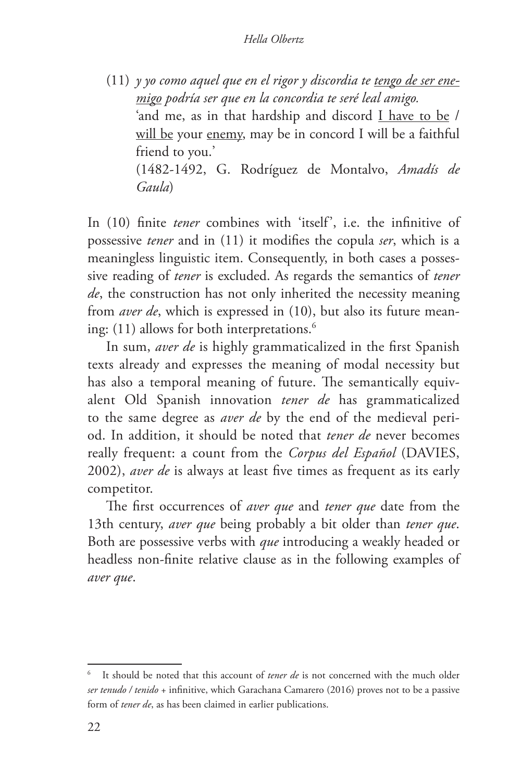(11) *y yo como aquel que en el rigor y discordia te tengo de ser enemigo podría ser que en la concordia te seré leal amigo.* 'and me, as in that hardship and discord I have to be / will be your enemy, may be in concord I will be a faithful friend to you.' (1482-1492, G. Rodríguez de Montalvo, *Amadís de Gaula*)

In (10) finite *tener* combines with 'itself', i.e. the infinitive of possessive *tener* and in (11) it modifies the copula *ser*, which is a meaningless linguistic item. Consequently, in both cases a possessive reading of *tener* is excluded. As regards the semantics of *tener de*, the construction has not only inherited the necessity meaning from *aver de*, which is expressed in (10), but also its future meaning: (11) allows for both interpretations.<sup>6</sup>

In sum, *aver de* is highly grammaticalized in the first Spanish texts already and expresses the meaning of modal necessity but has also a temporal meaning of future. The semantically equivalent Old Spanish innovation *tener de* has grammaticalized to the same degree as *aver de* by the end of the medieval period. In addition, it should be noted that *tener de* never becomes really frequent: a count from the *Corpus del Español* (DAVIES, 2002), *aver de* is always at least five times as frequent as its early competitor.

The first occurrences of *aver que* and *tener que* date from the 13th century, *aver que* being probably a bit older than *tener que*. Both are possessive verbs with *que* introducing a weakly headed or headless non-finite relative clause as in the following examples of *aver que*.

It should be noted that this account of *tener de* is not concerned with the much older *ser tenudo / tenido* + infinitive, which Garachana Camarero (2016) proves not to be a passive form of *tener de*, as has been claimed in earlier publications.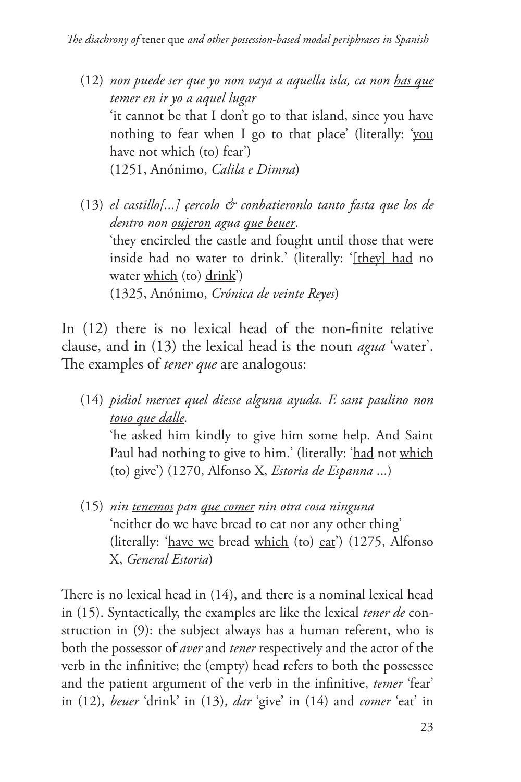- (12) *non puede ser que yo non vaya a aquella isla, ca non has que temer en ir yo a aquel lugar* 'it cannot be that I don't go to that island, since you have nothing to fear when I go to that place' (literally: 'you have not which (to) fear') (1251, Anónimo, *Calila e Dimna*)
- (13) *el castillo[...] çercolo & conbatieronlo tanto fasta que los de dentro non oujeron agua que beuer*. 'they encircled the castle and fought until those that were inside had no water to drink.' (literally: '[they] had no water which (to) drink') (1325, Anónimo, *Crónica de veinte Reyes*)

In (12) there is no lexical head of the non-finite relative clause, and in (13) the lexical head is the noun *agua* 'water'. The examples of *tener que* are analogous:

- (14) *pidiol mercet quel diesse alguna ayuda. E sant paulino non touo que dalle.* 'he asked him kindly to give him some help. And Saint Paul had nothing to give to him.' (literally: 'had not which (to) give') (1270, Alfonso X, *Estoria de Espanna* ...)
- (15) *nin tenemos pan que comer nin otra cosa ninguna* 'neither do we have bread to eat nor any other thing' (literally: 'have we bread which (to) eat') (1275, Alfonso X, *General Estoria*)

There is no lexical head in (14), and there is a nominal lexical head in (15). Syntactically, the examples are like the lexical *tener de* construction in (9): the subject always has a human referent, who is both the possessor of *aver* and *tener* respectively and the actor of the verb in the infinitive; the (empty) head refers to both the possessee and the patient argument of the verb in the infinitive, *temer* 'fear' in (12), *beuer* 'drink' in (13), *dar* 'give' in (14) and *comer* 'eat' in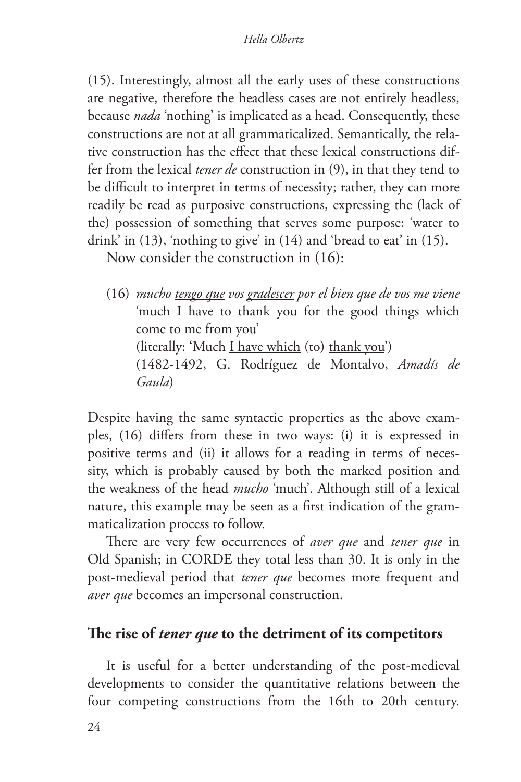(15). Interestingly, almost all the early uses of these constructions are negative, therefore the headless cases are not entirely headless, because *nada* 'nothing' is implicated as a head. Consequently, these constructions are not at all grammaticalized. Semantically, the relative construction has the effect that these lexical constructions differ from the lexical *tener de* construction in (9), in that they tend to be difficult to interpret in terms of necessity; rather, they can more readily be read as purposive constructions, expressing the (lack of the) possession of something that serves some purpose: 'water to drink' in (13), 'nothing to give' in (14) and 'bread to eat' in (15).

Now consider the construction in (16):

(16) *mucho tengo que vos gradescer por el bien que de vos me viene* 'much I have to thank you for the good things which come to me from you' (literally: 'Much I have which (to) thank you') (1482-1492, G. Rodríguez de Montalvo, *Amadís de Gaula*)

Despite having the same syntactic properties as the above examples, (16) differs from these in two ways: (i) it is expressed in positive terms and (ii) it allows for a reading in terms of necessity, which is probably caused by both the marked position and the weakness of the head *mucho* 'much'. Although still of a lexical nature, this example may be seen as a first indication of the grammaticalization process to follow.

There are very few occurrences of *aver que* and *tener que* in Old Spanish; in CORDE they total less than 30. It is only in the post-medieval period that *tener que* becomes more frequent and *aver que* becomes an impersonal construction.

## **The rise of** *tener que* **to the detriment of its competitors**

It is useful for a better understanding of the post-medieval developments to consider the quantitative relations between the four competing constructions from the 16th to 20th century.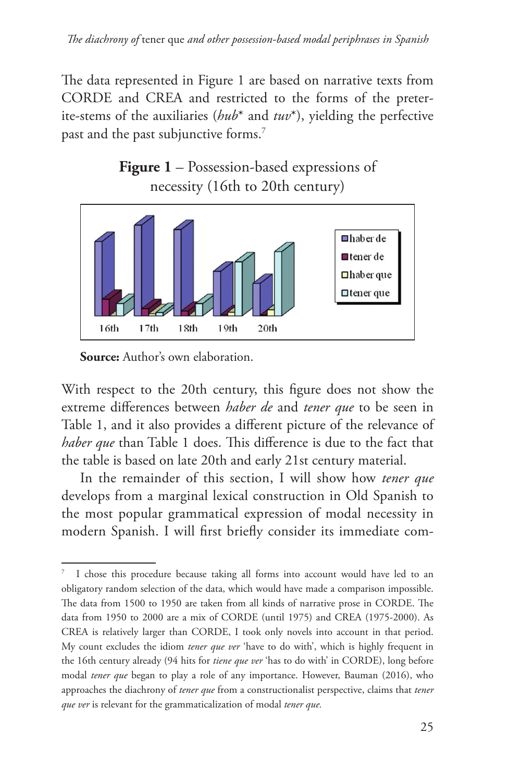The data represented in Figure 1 are based on narrative texts from CORDE and CREA and restricted to the forms of the preterite-stems of the auxiliaries (*hub*\* and *tuv*\*), yielding the perfective past and the past subjunctive forms.<sup>7</sup>





**Source:** Author's own elaboration.

With respect to the 20th century, this figure does not show the extreme differences between *haber de* and *tener que* to be seen in Table 1, and it also provides a different picture of the relevance of *haber que* than Table 1 does. This difference is due to the fact that the table is based on late 20th and early 21st century material.

In the remainder of this section, I will show how *tener que* develops from a marginal lexical construction in Old Spanish to the most popular grammatical expression of modal necessity in modern Spanish. I will first briefly consider its immediate com-

<sup>7</sup> I chose this procedure because taking all forms into account would have led to an obligatory random selection of the data, which would have made a comparison impossible. The data from 1500 to 1950 are taken from all kinds of narrative prose in CORDE. The data from 1950 to 2000 are a mix of CORDE (until 1975) and CREA (1975-2000). As CREA is relatively larger than CORDE, I took only novels into account in that period. My count excludes the idiom *tener que ver* 'have to do with', which is highly frequent in the 16th century already (94 hits for *tiene que ver* 'has to do with' in CORDE), long before modal *tener que* began to play a role of any importance. However, Bauman (2016), who approaches the diachrony of *tener que* from a constructionalist perspective, claims that *tener que ver* is relevant for the grammaticalization of modal *tener que.*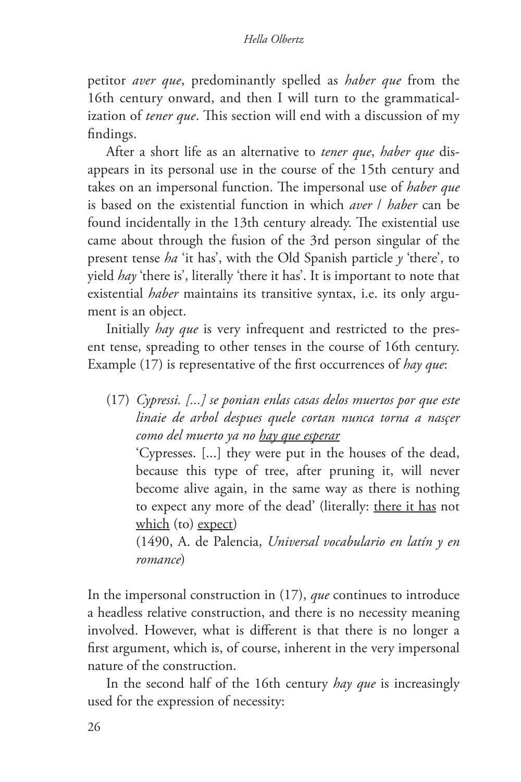petitor *aver que*, predominantly spelled as *haber que* from the 16th century onward, and then I will turn to the grammaticalization of *tener que*. This section will end with a discussion of my findings.

After a short life as an alternative to *tener que*, *haber que* disappears in its personal use in the course of the 15th century and takes on an impersonal function. The impersonal use of *haber que*  is based on the existential function in which *aver* / *haber* can be found incidentally in the 13th century already. The existential use came about through the fusion of the 3rd person singular of the present tense *ha* 'it has', with the Old Spanish particle *y* 'there', to yield *hay* 'there is', literally 'there it has'. It is important to note that existential *haber* maintains its transitive syntax, i.e. its only argument is an object.

Initially *hay que* is very infrequent and restricted to the present tense, spreading to other tenses in the course of 16th century. Example (17) is representative of the first occurrences of *hay que*:

(17) *Cypressi. [...] se ponian enlas casas delos muertos por que este linaie de arbol despues quele cortan nunca torna a nasçer como del muerto ya no hay que esperar*

'Cypresses. [...] they were put in the houses of the dead, because this type of tree, after pruning it, will never become alive again, in the same way as there is nothing to expect any more of the dead' (literally: there it has not which (to) expect)

(1490, A. de Palencia, *Universal vocabulario en latín y en romance*)

In the impersonal construction in (17), *que* continues to introduce a headless relative construction, and there is no necessity meaning involved. However, what is different is that there is no longer a first argument, which is, of course, inherent in the very impersonal nature of the construction.

In the second half of the 16th century *hay que* is increasingly used for the expression of necessity: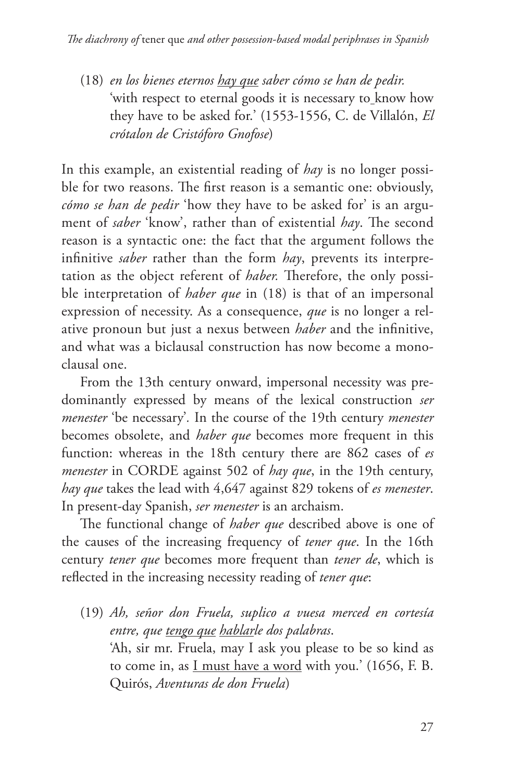(18) *en los bienes eternos hay que saber cómo se han de pedir.* 'with respect to eternal goods it is necessary to know how they have to be asked for.' (1553-1556, C. de Villalón, *El crótalon de Cristóforo Gnofose*)

In this example, an existential reading of *hay* is no longer possible for two reasons. The first reason is a semantic one: obviously, *cómo se han de pedir* 'how they have to be asked for' is an argument of *saber* 'know', rather than of existential *hay*. The second reason is a syntactic one: the fact that the argument follows the infinitive *saber* rather than the form *hay*, prevents its interpretation as the object referent of *haber.* Therefore, the only possible interpretation of *haber que* in (18) is that of an impersonal expression of necessity. As a consequence, *que* is no longer a relative pronoun but just a nexus between *haber* and the infinitive, and what was a biclausal construction has now become a monoclausal one.

From the 13th century onward, impersonal necessity was predominantly expressed by means of the lexical construction *ser menester* 'be necessary'*.* In the course of the 19th century *menester*  becomes obsolete, and *haber que* becomes more frequent in this function: whereas in the 18th century there are 862 cases of *es menester* in CORDE against 502 of *hay que*, in the 19th century, *hay que* takes the lead with 4,647 against 829 tokens of *es menester*. In present-day Spanish, *ser menester* is an archaism.

The functional change of *haber que* described above is one of the causes of the increasing frequency of *tener que*. In the 16th century *tener que* becomes more frequent than *tener de*, which is reflected in the increasing necessity reading of *tener que*:

(19) *Ah, señor don Fruela, suplico a vuesa merced en cortesía entre, que tengo que hablarle dos palabras*. 'Ah, sir mr. Fruela, may I ask you please to be so kind as to come in, as I must have a word with you.' (1656, F. B. Quirós, *Aventuras de don Fruela*)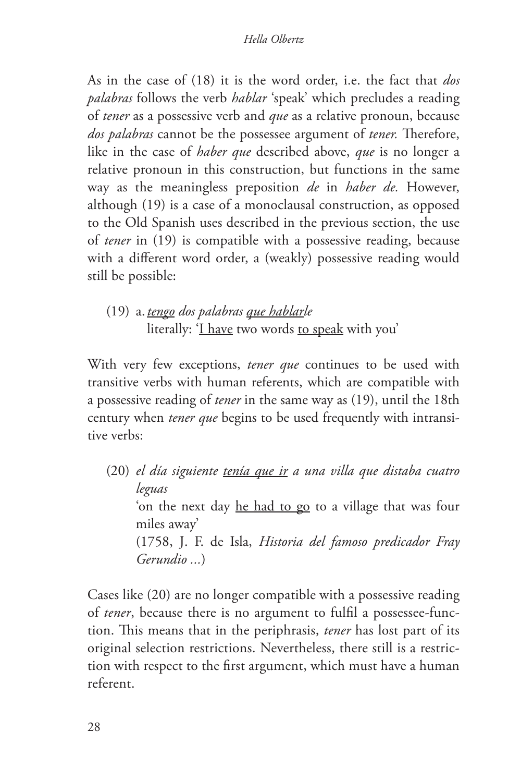As in the case of (18) it is the word order, i.e. the fact that *dos palabras* follows the verb *hablar* 'speak' which precludes a reading of *tener* as a possessive verb and *que* as a relative pronoun, because *dos palabras* cannot be the possessee argument of *tener.* Therefore, like in the case of *haber que* described above, *que* is no longer a relative pronoun in this construction, but functions in the same way as the meaningless preposition *de* in *haber de.* However, although (19) is a case of a monoclausal construction, as opposed to the Old Spanish uses described in the previous section, the use of *tener* in (19) is compatible with a possessive reading, because with a different word order, a (weakly) possessive reading would still be possible:

(19) a.*tengo dos palabras que hablarle* literally: 'I have two words to speak with you'

With very few exceptions, *tener que* continues to be used with transitive verbs with human referents, which are compatible with a possessive reading of *tener* in the same way as (19), until the 18th century when *tener que* begins to be used frequently with intransitive verbs:

(20) *el día siguiente tenía que ir a una villa que distaba cuatro leguas* 'on the next day he had to go to a village that was four miles away' (1758, J. F. de Isla, *Historia del famoso predicador Fray Gerundio ...*)

Cases like (20) are no longer compatible with a possessive reading of *tener*, because there is no argument to fulfil a possessee-function. This means that in the periphrasis, *tener* has lost part of its original selection restrictions. Nevertheless, there still is a restriction with respect to the first argument, which must have a human referent.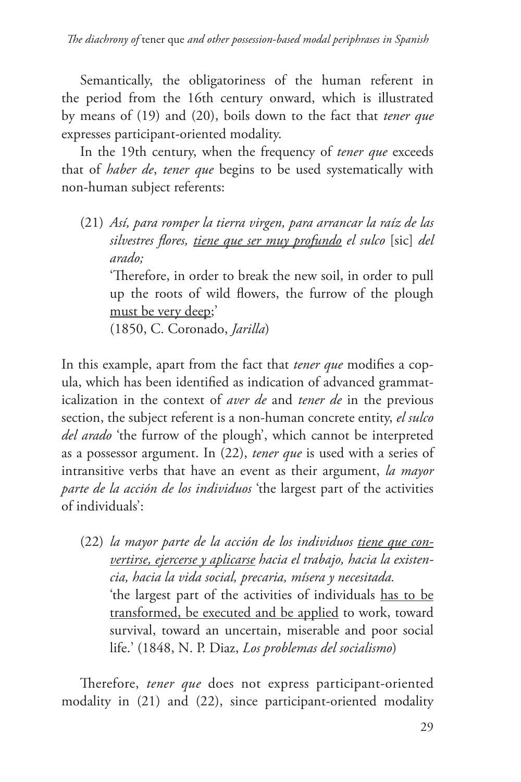Semantically, the obligatoriness of the human referent in the period from the 16th century onward, which is illustrated by means of (19) and (20), boils down to the fact that *tener que* expresses participant-oriented modality.

In the 19th century, when the frequency of *tener que* exceeds that of *haber de*, *tener que* begins to be used systematically with non-human subject referents:

(21) *Así, para romper la tierra virgen, para arrancar la raíz de las silvestres flores, tiene que ser muy profundo el sulco* [sic] *del arado;*

'Therefore, in order to break the new soil, in order to pull up the roots of wild flowers, the furrow of the plough must be very deep;'

(1850, C. Coronado, *Jarilla*)

In this example, apart from the fact that *tener que* modifies a copula, which has been identified as indication of advanced grammaticalization in the context of *aver de* and *tener de* in the previous section, the subject referent is a non-human concrete entity, *el sulco del arado* 'the furrow of the plough', which cannot be interpreted as a possessor argument. In (22), *tener que* is used with a series of intransitive verbs that have an event as their argument, *la mayor parte de la acción de los individuos* 'the largest part of the activities of individuals':

(22) *la mayor parte de la acción de los individuos tiene que convertirse, ejercerse y aplicarse hacia el trabajo, hacia la existencia, hacia la vida social, precaria, mísera y necesitada.* 'the largest part of the activities of individuals has to be transformed, be executed and be applied to work, toward survival, toward an uncertain, miserable and poor social life.' (1848, N. P. Diaz, *Los problemas del socialismo*)

Therefore, *tener que* does not express participant-oriented modality in (21) and (22), since participant-oriented modality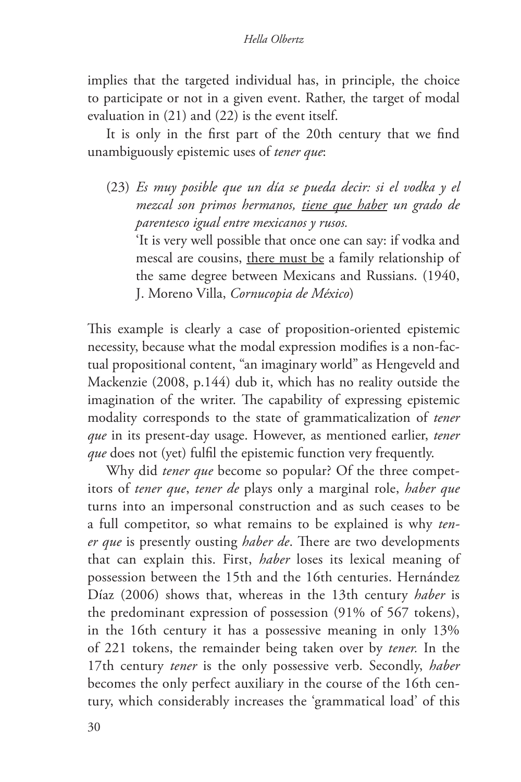#### *Hella Olbertz*

implies that the targeted individual has, in principle, the choice to participate or not in a given event. Rather, the target of modal evaluation in (21) and (22) is the event itself.

It is only in the first part of the 20th century that we find unambiguously epistemic uses of *tener que*:

(23) *Es muy posible que un día se pueda decir: si el vodka y el mezcal son primos hermanos, tiene que haber un grado de parentesco igual entre mexicanos y rusos.*

'It is very well possible that once one can say: if vodka and mescal are cousins, there must be a family relationship of the same degree between Mexicans and Russians. (1940, J. Moreno Villa, *Cornucopia de México*)

This example is clearly a case of proposition-oriented epistemic necessity, because what the modal expression modifies is a non-factual propositional content, "an imaginary world" as Hengeveld and Mackenzie (2008, p.144) dub it, which has no reality outside the imagination of the writer. The capability of expressing epistemic modality corresponds to the state of grammaticalization of *tener que* in its present-day usage. However, as mentioned earlier, *tener que* does not (yet) fulfil the epistemic function very frequently.

Why did *tener que* become so popular? Of the three competitors of *tener que*, *tener de* plays only a marginal role, *haber que*  turns into an impersonal construction and as such ceases to be a full competitor, so what remains to be explained is why *tener que* is presently ousting *haber de*. There are two developments that can explain this. First, *haber* loses its lexical meaning of possession between the 15th and the 16th centuries. Hernández Díaz (2006) shows that, whereas in the 13th century *haber* is the predominant expression of possession (91% of 567 tokens), in the 16th century it has a possessive meaning in only 13% of 221 tokens, the remainder being taken over by *tener.* In the 17th century *tener* is the only possessive verb. Secondly, *haber*  becomes the only perfect auxiliary in the course of the 16th century, which considerably increases the 'grammatical load' of this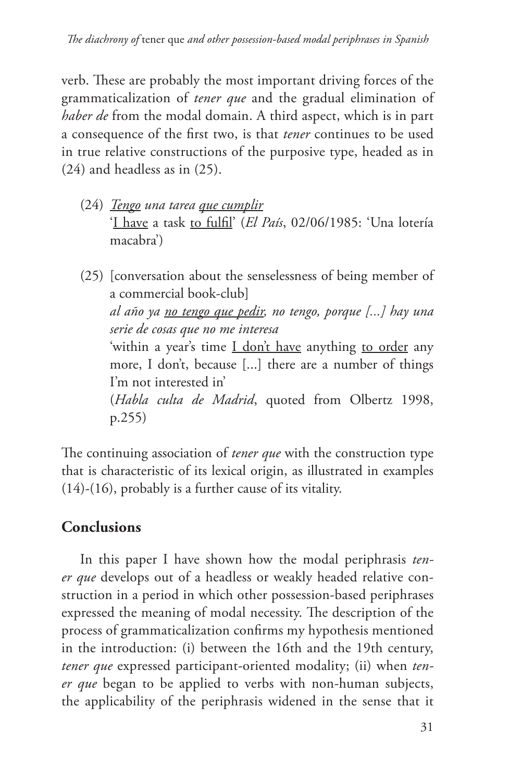verb. These are probably the most important driving forces of the grammaticalization of *tener que* and the gradual elimination of *haber de* from the modal domain. A third aspect, which is in part a consequence of the first two, is that *tener* continues to be used in true relative constructions of the purposive type, headed as in (24) and headless as in (25).

- (24) *Tengo una tarea que cumplir* 'I have a task to fulfil' (*El País*, 02/06/1985: 'Una lotería macabra')
- (25) [conversation about the senselessness of being member of a commercial book-club] *al año ya no tengo que pedir, no tengo, porque [...] hay una serie de cosas que no me interesa* 'within a year's time I don't have anything to order any more, I don't, because [...] there are a number of things I'm not interested in' (*Habla culta de Madrid*, quoted from Olbertz 1998, p.255)

The continuing association of *tener que* with the construction type that is characteristic of its lexical origin, as illustrated in examples (14)-(16), probably is a further cause of its vitality.

# **Conclusions**

In this paper I have shown how the modal periphrasis *tener que* develops out of a headless or weakly headed relative construction in a period in which other possession-based periphrases expressed the meaning of modal necessity. The description of the process of grammaticalization confirms my hypothesis mentioned in the introduction: (i) between the 16th and the 19th century, *tener que* expressed participant-oriented modality; (ii) when *tener que* began to be applied to verbs with non-human subjects, the applicability of the periphrasis widened in the sense that it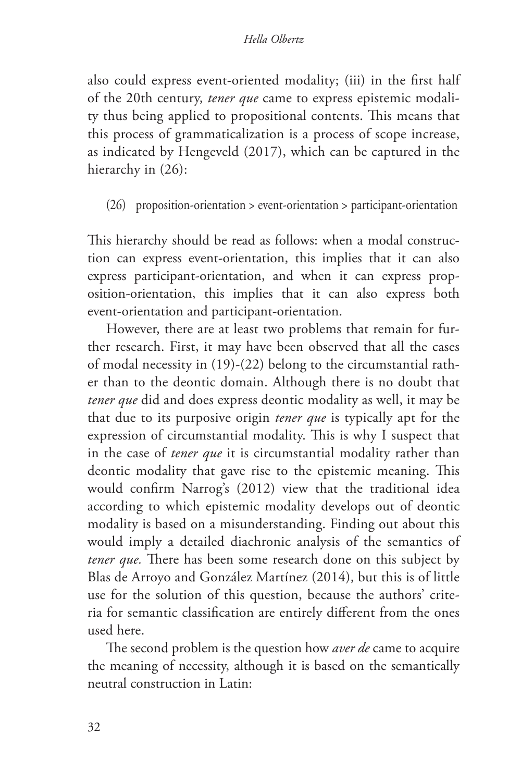#### *Hella Olbertz*

also could express event-oriented modality; (iii) in the first half of the 20th century, *tener que* came to express epistemic modality thus being applied to propositional contents. This means that this process of grammaticalization is a process of scope increase, as indicated by Hengeveld (2017), which can be captured in the hierarchy in  $(26)$ :

(26) proposition-orientation > event-orientation > participant-orientation

This hierarchy should be read as follows: when a modal construction can express event-orientation, this implies that it can also express participant-orientation, and when it can express proposition-orientation, this implies that it can also express both event-orientation and participant-orientation.

However, there are at least two problems that remain for further research. First, it may have been observed that all the cases of modal necessity in (19)-(22) belong to the circumstantial rather than to the deontic domain. Although there is no doubt that *tener que* did and does express deontic modality as well, it may be that due to its purposive origin *tener que* is typically apt for the expression of circumstantial modality. This is why I suspect that in the case of *tener que* it is circumstantial modality rather than deontic modality that gave rise to the epistemic meaning. This would confirm Narrog's (2012) view that the traditional idea according to which epistemic modality develops out of deontic modality is based on a misunderstanding. Finding out about this would imply a detailed diachronic analysis of the semantics of *tener que.* There has been some research done on this subject by Blas de Arroyo and González Martínez (2014), but this is of little use for the solution of this question, because the authors' criteria for semantic classification are entirely different from the ones used here.

The second problem is the question how *aver de* came to acquire the meaning of necessity, although it is based on the semantically neutral construction in Latin: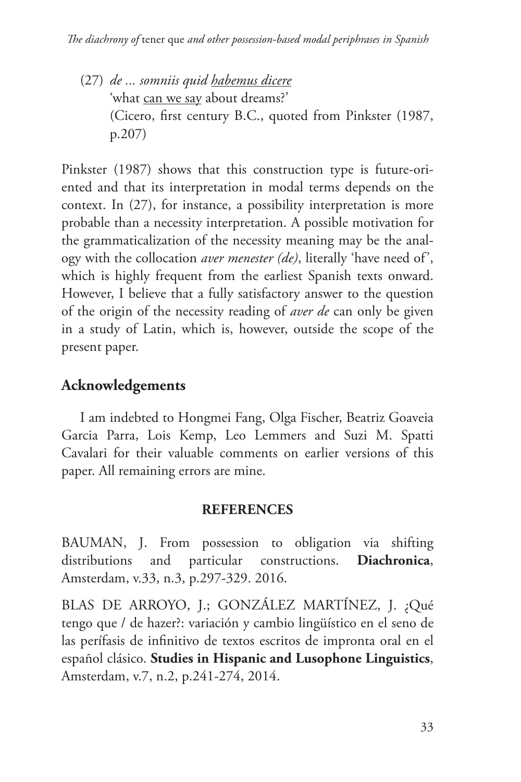(27) *de ... somniis quid habemus dicere* 'what can we say about dreams?' (Cicero, first century B.C., quoted from Pinkster (1987, p.207)

Pinkster (1987) shows that this construction type is future-oriented and that its interpretation in modal terms depends on the context. In (27), for instance, a possibility interpretation is more probable than a necessity interpretation. A possible motivation for the grammaticalization of the necessity meaning may be the analogy with the collocation *aver menester (de)*, literally 'have need of', which is highly frequent from the earliest Spanish texts onward. However, I believe that a fully satisfactory answer to the question of the origin of the necessity reading of *aver de* can only be given in a study of Latin, which is, however, outside the scope of the present paper.

## **Acknowledgements**

I am indebted to Hongmei Fang, Olga Fischer, Beatriz Goaveia Garcia Parra, Lois Kemp, Leo Lemmers and Suzi M. Spatti Cavalari for their valuable comments on earlier versions of this paper. All remaining errors are mine.

## **REFERENCES**

BAUMAN, J. From possession to obligation via shifting distributions and particular constructions. **Diachronica**, Amsterdam, v.33, n.3, p.297-329. 2016.

BLAS DE ARROYO, J.; GONZÁLEZ MARTÍNEZ, J. ¿Qué tengo que / de hazer?: variación y cambio lingüístico en el seno de las perífasis de infinitivo de textos escritos de impronta oral en el español clásico. **Studies in Hispanic and Lusophone Linguistics**, Amsterdam, v.7, n.2, p.241-274, 2014.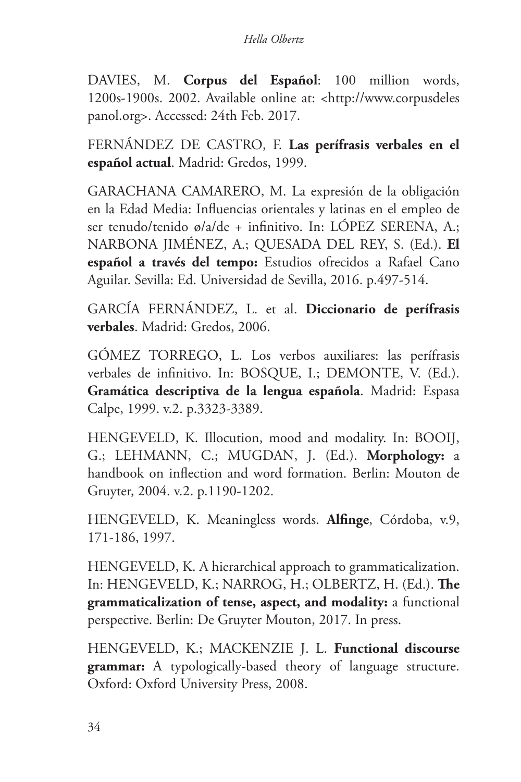DAVIES, M. **Corpus del Español**: 100 million words, 1200s-1900s. 2002. Available online at: <http://www.corpusdeles panol.org>. Accessed: 24th Feb. 2017.

FERNÁNDEZ DE CASTRO, F. **Las perífrasis verbales en el español actual**. Madrid: Gredos, 1999.

GARACHANA CAMARERO, M. La expresión de la obligación en la Edad Media: Influencias orientales y latinas en el empleo de ser tenudo/tenido ø/a/de + infinitivo. In: LÓPEZ SERENA, A.; NARBONA JIMÉNEZ, A.; QUESADA DEL REY, S. (Ed.). **El español a través del tempo:** Estudios ofrecidos a Rafael Cano Aguilar. Sevilla: Ed. Universidad de Sevilla, 2016. p.497-514.

GARCÍA FERNÁNDEZ, L. et al. **Diccionario de perífrasis verbales**. Madrid: Gredos, 2006.

GÓMEZ TORREGO, L. Los verbos auxiliares: las perífrasis verbales de infinitivo. In: BOSQUE, I.; DEMONTE, V. (Ed.). **Gramática descriptiva de la lengua española**. Madrid: Espasa Calpe, 1999. v.2. p.3323-3389.

HENGEVELD, K. Illocution, mood and modality. In: BOOIJ, G.; LEHMANN, C.; MUGDAN, J. (Ed.). **Morphology:** a handbook on inflection and word formation. Berlin: Mouton de Gruyter, 2004. v.2. p.1190-1202.

HENGEVELD, K. Meaningless words. **Alfinge**, Córdoba, v.9, 171-186, 1997.

HENGEVELD, K. A hierarchical approach to grammaticalization. In: HENGEVELD, K.; NARROG, H.; OLBERTZ, H. (Ed.). **The grammaticalization of tense, aspect, and modality:** a functional perspective. Berlin: De Gruyter Mouton, 2017. In press.

HENGEVELD, K.; MACKENZIE J. L. **Functional discourse grammar:** A typologically-based theory of language structure. Oxford: Oxford University Press, 2008.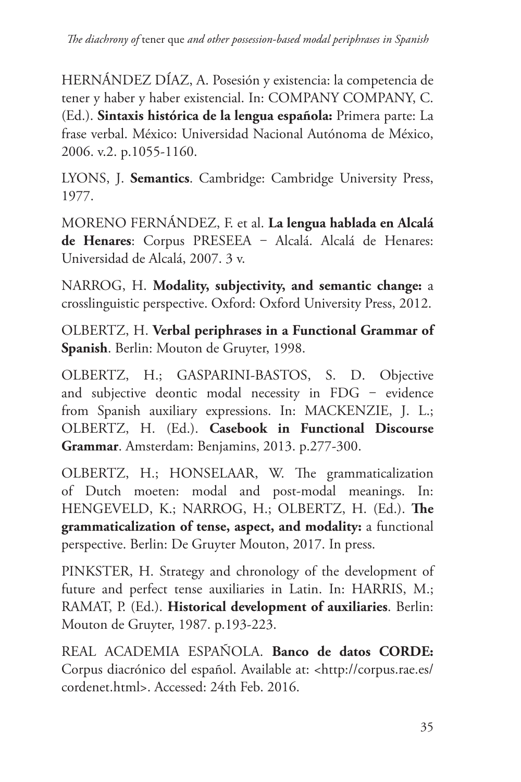HERNÁNDEZ DÍAZ, A. Posesión y existencia: la competencia de tener y haber y haber existencial. In: COMPANY COMPANY, C. (Ed.). **Sintaxis histórica de la lengua española:** Primera parte: La frase verbal. México: Universidad Nacional Autónoma de México, 2006. v.2. p.1055-1160.

LYONS, J. **Semantics**. Cambridge: Cambridge University Press, 1977.

MORENO FERNÁNDEZ, F. et al. **La lengua hablada en Alcalá**  de Henares: Corpus PRESEEA - Alcalá. Alcalá de Henares: Universidad de Alcalá, 2007. 3 v.

NARROG, H. **Modality, subjectivity, and semantic change:** a crosslinguistic perspective. Oxford: Oxford University Press, 2012.

OLBERTZ, H. **Verbal periphrases in a Functional Grammar of Spanish**. Berlin: Mouton de Gruyter, 1998.

OLBERTZ, H.; GASPARINI-BASTOS, S. D. Objective and subjective deontic modal necessity in FDG - evidence from Spanish auxiliary expressions. In: MACKENZIE, J. L.; OLBERTZ, H. (Ed.). **Casebook in Functional Discourse Grammar**. Amsterdam: Benjamins, 2013. p.277-300.

OLBERTZ, H.; HONSELAAR, W. The grammaticalization of Dutch moeten: modal and post-modal meanings. In: HENGEVELD, K.; NARROG, H.; OLBERTZ, H. (Ed.). **The grammaticalization of tense, aspect, and modality:** a functional perspective. Berlin: De Gruyter Mouton, 2017. In press.

PINKSTER, H. Strategy and chronology of the development of future and perfect tense auxiliaries in Latin. In: HARRIS, M.; RAMAT, P. (Ed.). **Historical development of auxiliaries**. Berlin: Mouton de Gruyter, 1987. p.193-223.

REAL ACADEMIA ESPAÑOLA. **Banco de datos CORDE:**  Corpus diacrónico del español. Available at: <http://corpus.rae.es/ cordenet.html>. Accessed: 24th Feb. 2016.